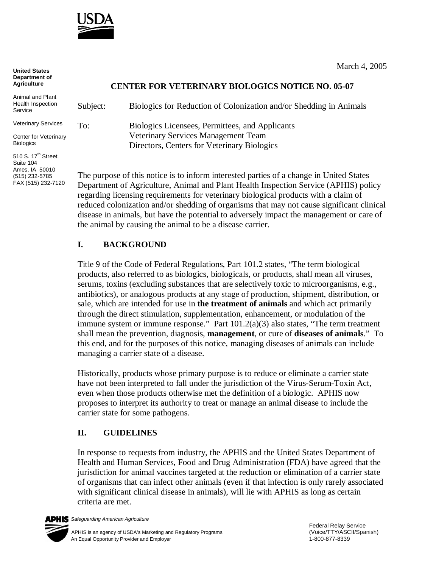

| <b>United States</b><br>Department of<br><b>Agriculture</b>    |                                                                                                                                                                             | March 4, 2005                                                      |  |
|----------------------------------------------------------------|-----------------------------------------------------------------------------------------------------------------------------------------------------------------------------|--------------------------------------------------------------------|--|
|                                                                | <b>CENTER FOR VETERINARY BIOLOGICS NOTICE NO. 05-07</b>                                                                                                                     |                                                                    |  |
| Animal and Plant<br>Health Inspection<br>Service               | Subject:                                                                                                                                                                    | Biologics for Reduction of Colonization and/or Shedding in Animals |  |
| <b>Veterinary Services</b>                                     | To:                                                                                                                                                                         | Biologics Licensees, Permittees, and Applicants                    |  |
| Center for Veterinary<br><b>Biologics</b>                      |                                                                                                                                                                             | Veterinary Services Management Team                                |  |
|                                                                |                                                                                                                                                                             | Directors, Centers for Veterinary Biologics                        |  |
| 510 S. 17 <sup>th</sup> Street.<br>Suite 104<br>Ames, IA 50010 |                                                                                                                                                                             |                                                                    |  |
| (515) 232-5785<br>FAX (515) 232-7120                           | The purpose of this notice is to inform interested parties of a change in United States                                                                                     |                                                                    |  |
|                                                                | Department of Agriculture, Animal and Plant Health Inspection Service (APHIS) policy<br>regarding licensing requirements for veterinary biological products with a claim of |                                                                    |  |

regarding licensing requirements for veterinary biological products with a claim of reduced colonization and/or shedding of organisms that may not cause significant clinical disease in animals, but have the potential to adversely impact the management or care of the animal by causing the animal to be a disease carrier.

## **I. BACKGROUND**

Title 9 of the Code of Federal Regulations, Part 101.2 states, "The term biological products, also referred to as biologics, biologicals, or products, shall mean all viruses, serums, toxins (excluding substances that are selectively toxic to microorganisms, e.g., antibiotics), or analogous products at any stage of production, shipment, distribution, or sale, which are intended for use in **the treatment of animals** and which act primarily through the direct stimulation, supplementation, enhancement, or modulation of the immune system or immune response." Part 101.2(a)(3) also states, "The term treatment shall mean the prevention, diagnosis, **management**, or cure of **diseases of animals**." To this end, and for the purposes of this notice, managing diseases of animals can include managing a carrier state of a disease.

Historically, products whose primary purpose is to reduce or eliminate a carrier state have not been interpreted to fall under the jurisdiction of the Virus-Serum-Toxin Act, even when those products otherwise met the definition of a biologic. APHIS now proposes to interpret its authority to treat or manage an animal disease to include the carrier state for some pathogens.

## **II. GUIDELINES**

In response to requests from industry, the APHIS and the United States Department of Health and Human Services, Food and Drug Administration (FDA) have agreed that the jurisdiction for animal vaccines targeted at the reduction or elimination of a carrier state of organisms that can infect other animals (even if that infection is only rarely associated with significant clinical disease in animals), will lie with APHIS as long as certain criteria are met.